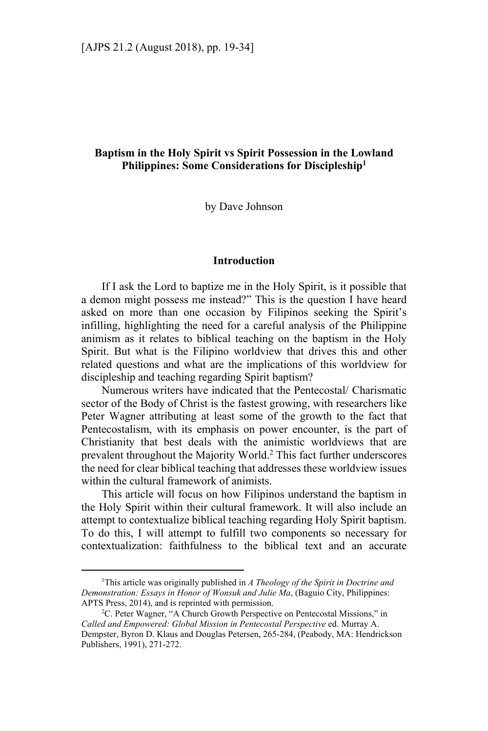# **Baptism in the Holy Spirit vs Spirit Possession in the Lowland Philippines: Some Considerations for Discipleship1**

by Dave Johnson

### **Introduction**

If I ask the Lord to baptize me in the Holy Spirit, is it possible that a demon might possess me instead?" This is the question I have heard asked on more than one occasion by Filipinos seeking the Spirit's infilling, highlighting the need for a careful analysis of the Philippine animism as it relates to biblical teaching on the baptism in the Holy Spirit. But what is the Filipino worldview that drives this and other related questions and what are the implications of this worldview for discipleship and teaching regarding Spirit baptism?

Numerous writers have indicated that the Pentecostal/ Charismatic sector of the Body of Christ is the fastest growing, with researchers like Peter Wagner attributing at least some of the growth to the fact that Pentecostalism, with its emphasis on power encounter, is the part of Christianity that best deals with the animistic worldviews that are prevalent throughout the Majority World.<sup>2</sup> This fact further underscores the need for clear biblical teaching that addresses these worldview issues within the cultural framework of animists.

This article will focus on how Filipinos understand the baptism in the Holy Spirit within their cultural framework. It will also include an attempt to contextualize biblical teaching regarding Holy Spirit baptism. To do this, I will attempt to fulfill two components so necessary for contextualization: faithfulness to the biblical text and an accurate

<sup>&</sup>lt;sup>1</sup>This article was originally published in *A Theology of the Spirit in Doctrine and Demonstration: Essays in Honor of Wonsuk and Julie Ma*, (Baguio City, Philippines: APTS Press, 2014), and is reprinted with permission.

<sup>&</sup>lt;sup>2</sup>C. Peter Wagner, "A Church Growth Perspective on Pentecostal Missions," in *Called and Empowered: Global Mission in Pentecostal Perspective* ed. Murray A. Dempster, Byron D. Klaus and Douglas Petersen, 265-284, (Peabody, MA: Hendrickson Publishers, 1991), 271-272.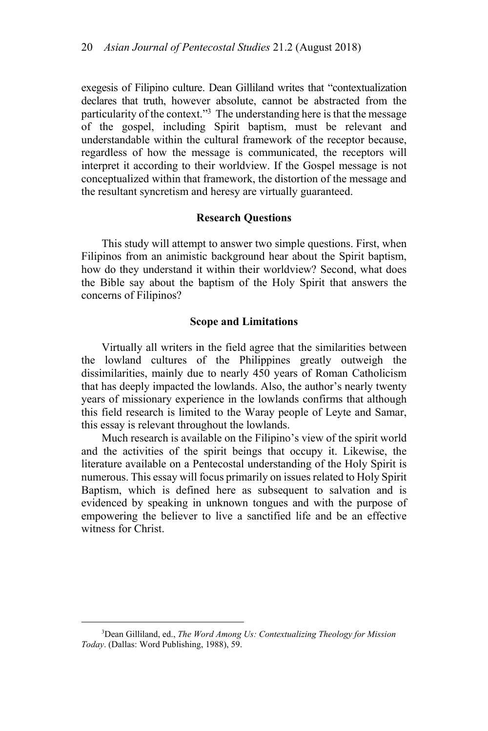exegesis of Filipino culture. Dean Gilliland writes that "contextualization declares that truth, however absolute, cannot be abstracted from the particularity of the context."<sup>3</sup> The understanding here is that the message of the gospel, including Spirit baptism, must be relevant and understandable within the cultural framework of the receptor because, regardless of how the message is communicated, the receptors will interpret it according to their worldview. If the Gospel message is not conceptualized within that framework, the distortion of the message and the resultant syncretism and heresy are virtually guaranteed.

## **Research Questions**

This study will attempt to answer two simple questions. First, when Filipinos from an animistic background hear about the Spirit baptism, how do they understand it within their worldview? Second, what does the Bible say about the baptism of the Holy Spirit that answers the concerns of Filipinos?

#### **Scope and Limitations**

Virtually all writers in the field agree that the similarities between the lowland cultures of the Philippines greatly outweigh the dissimilarities, mainly due to nearly 450 years of Roman Catholicism that has deeply impacted the lowlands. Also, the author's nearly twenty years of missionary experience in the lowlands confirms that although this field research is limited to the Waray people of Leyte and Samar, this essay is relevant throughout the lowlands.

Much research is available on the Filipino's view of the spirit world and the activities of the spirit beings that occupy it. Likewise, the literature available on a Pentecostal understanding of the Holy Spirit is numerous. This essay will focus primarily on issues related to Holy Spirit Baptism, which is defined here as subsequent to salvation and is evidenced by speaking in unknown tongues and with the purpose of empowering the believer to live a sanctified life and be an effective witness for Christ.

<sup>3</sup> Dean Gilliland, ed., *The Word Among Us: Contextualizing Theology for Mission Today*. (Dallas: Word Publishing, 1988), 59.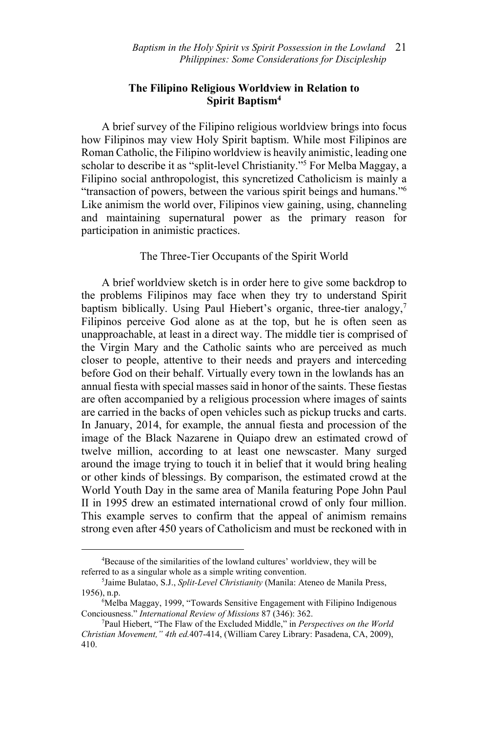# **The Filipino Religious Worldview in Relation to Spirit Baptism4**

A brief survey of the Filipino religious worldview brings into focus how Filipinos may view Holy Spirit baptism. While most Filipinos are Roman Catholic, the Filipino worldview is heavily animistic, leading one scholar to describe it as "split-level Christianity."5 For Melba Maggay, a Filipino social anthropologist, this syncretized Catholicism is mainly a "transaction of powers, between the various spirit beings and humans."6 Like animism the world over, Filipinos view gaining, using, channeling and maintaining supernatural power as the primary reason for participation in animistic practices.

## The Three-Tier Occupants of the Spirit World

A brief worldview sketch is in order here to give some backdrop to the problems Filipinos may face when they try to understand Spirit baptism biblically. Using Paul Hiebert's organic, three-tier analogy,<sup>7</sup> Filipinos perceive God alone as at the top, but he is often seen as unapproachable, at least in a direct way. The middle tier is comprised of the Virgin Mary and the Catholic saints who are perceived as much closer to people, attentive to their needs and prayers and interceding before God on their behalf. Virtually every town in the lowlands has an annual fiesta with special masses said in honor of the saints. These fiestas are often accompanied by a religious procession where images of saints are carried in the backs of open vehicles such as pickup trucks and carts. In January, 2014, for example, the annual fiesta and procession of the image of the Black Nazarene in Quiapo drew an estimated crowd of twelve million, according to at least one newscaster. Many surged around the image trying to touch it in belief that it would bring healing or other kinds of blessings. By comparison, the estimated crowd at the World Youth Day in the same area of Manila featuring Pope John Paul II in 1995 drew an estimated international crowd of only four million. This example serves to confirm that the appeal of animism remains strong even after 450 years of Catholicism and must be reckoned with in

<sup>4</sup> Because of the similarities of the lowland cultures' worldview, they will be referred to as a singular whole as a simple writing convention.

<sup>5</sup> Jaime Bulatao, S.J., *Split-Level Christianity* (Manila: Ateneo de Manila Press, 1956), n.p. 6

<sup>&</sup>lt;sup>6</sup>Melba Maggay, 1999, "Towards Sensitive Engagement with Filipino Indigenous Conciousness." *International Review of Missions* 87 (346): 362. 7

Paul Hiebert, "The Flaw of the Excluded Middle," in *Perspectives on the World Christian Movement," 4th ed.*407-414, (William Carey Library: Pasadena, CA, 2009), 410.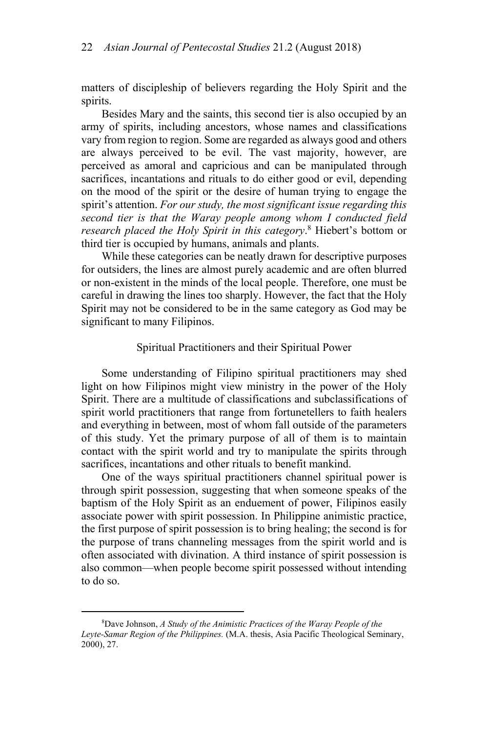matters of discipleship of believers regarding the Holy Spirit and the spirits.

Besides Mary and the saints, this second tier is also occupied by an army of spirits, including ancestors, whose names and classifications vary from region to region. Some are regarded as always good and others are always perceived to be evil. The vast majority, however, are perceived as amoral and capricious and can be manipulated through sacrifices, incantations and rituals to do either good or evil, depending on the mood of the spirit or the desire of human trying to engage the spirit's attention. *For our study, the most significant issue regarding this second tier is that the Waray people among whom I conducted field research placed the Holy Spirit in this category*. 8 Hiebert's bottom or third tier is occupied by humans, animals and plants.

While these categories can be neatly drawn for descriptive purposes for outsiders, the lines are almost purely academic and are often blurred or non-existent in the minds of the local people. Therefore, one must be careful in drawing the lines too sharply. However, the fact that the Holy Spirit may not be considered to be in the same category as God may be significant to many Filipinos.

#### Spiritual Practitioners and their Spiritual Power

Some understanding of Filipino spiritual practitioners may shed light on how Filipinos might view ministry in the power of the Holy Spirit. There are a multitude of classifications and subclassifications of spirit world practitioners that range from fortunetellers to faith healers and everything in between, most of whom fall outside of the parameters of this study. Yet the primary purpose of all of them is to maintain contact with the spirit world and try to manipulate the spirits through sacrifices, incantations and other rituals to benefit mankind.

One of the ways spiritual practitioners channel spiritual power is through spirit possession, suggesting that when someone speaks of the baptism of the Holy Spirit as an enduement of power, Filipinos easily associate power with spirit possession. In Philippine animistic practice, the first purpose of spirit possession is to bring healing; the second is for the purpose of trans channeling messages from the spirit world and is often associated with divination. A third instance of spirit possession is also common—when people become spirit possessed without intending to do so.

<sup>8</sup> Dave Johnson, *A Study of the Animistic Practices of the Waray People of the Leyte-Samar Region of the Philippines.* (M.A. thesis, Asia Pacific Theological Seminary, 2000), 27.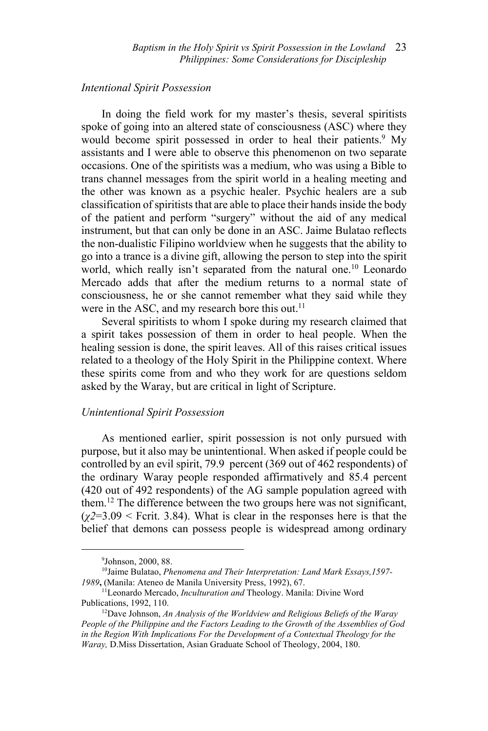## *Intentional Spirit Possession*

In doing the field work for my master's thesis, several spiritists spoke of going into an altered state of consciousness (ASC) where they would become spirit possessed in order to heal their patients.<sup>9</sup> My assistants and I were able to observe this phenomenon on two separate occasions. One of the spiritists was a medium, who was using a Bible to trans channel messages from the spirit world in a healing meeting and the other was known as a psychic healer. Psychic healers are a sub classification of spiritists that are able to place their hands inside the body of the patient and perform "surgery" without the aid of any medical instrument, but that can only be done in an ASC. Jaime Bulatao reflects the non-dualistic Filipino worldview when he suggests that the ability to go into a trance is a divine gift, allowing the person to step into the spirit world, which really isn't separated from the natural one.<sup>10</sup> Leonardo Mercado adds that after the medium returns to a normal state of consciousness, he or she cannot remember what they said while they were in the ASC, and my research bore this out. $^{11}$ 

Several spiritists to whom I spoke during my research claimed that a spirit takes possession of them in order to heal people. When the healing session is done, the spirit leaves. All of this raises critical issues related to a theology of the Holy Spirit in the Philippine context. Where these spirits come from and who they work for are questions seldom asked by the Waray, but are critical in light of Scripture.

## *Unintentional Spirit Possession*

As mentioned earlier, spirit possession is not only pursued with purpose, but it also may be unintentional. When asked if people could be controlled by an evil spirit, 79.9 percent (369 out of 462 respondents) of the ordinary Waray people responded affirmatively and 85.4 percent (420 out of 492 respondents) of the AG sample population agreed with them.12 The difference between the two groups here was not significant,  $(\chi^2=3.09$  < Fcrit. 3.84). What is clear in the responses here is that the belief that demons can possess people is widespread among ordinary

<sup>9</sup> Johnson, 2000, 88.

<sup>10</sup>Jaime Bulatao, *Phenomena and Their Interpretation: Land Mark Essays,1597- 1989***,** (Manila: Ateneo de Manila University Press, 1992), 67.

<sup>&</sup>lt;sup>11</sup>Leonardo Mercado, *Inculturation and* Theology. Manila: Divine Word Publications, 1992, 110.

<sup>&</sup>lt;sup>12</sup>Dave Johnson, An Analysis of the Worldview and Religious Beliefs of the Waray *People of the Philippine and the Factors Leading to the Growth of the Assemblies of God*  in the Region With Implications For the Development of a Contextual Theology for the *Waray,* D.Miss Dissertation, Asian Graduate School of Theology, 2004, 180.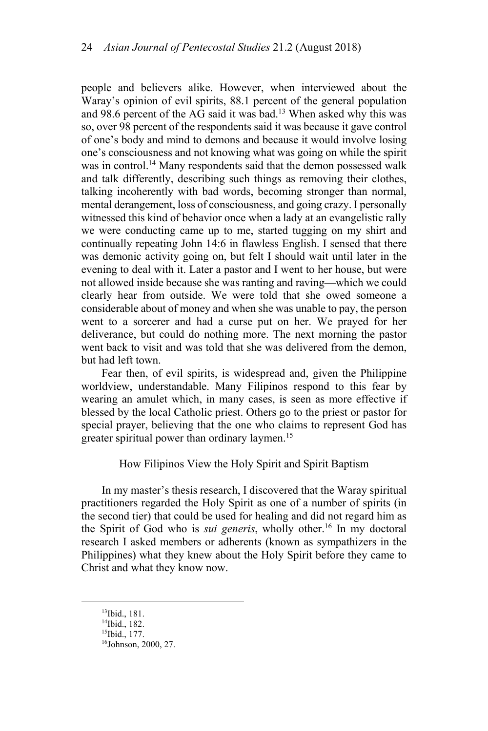people and believers alike. However, when interviewed about the Waray's opinion of evil spirits, 88.1 percent of the general population and 98.6 percent of the AG said it was bad.<sup>13</sup> When asked why this was so, over 98 percent of the respondents said it was because it gave control of one's body and mind to demons and because it would involve losing one's consciousness and not knowing what was going on while the spirit was in control.<sup>14</sup> Many respondents said that the demon possessed walk and talk differently, describing such things as removing their clothes, talking incoherently with bad words, becoming stronger than normal, mental derangement, loss of consciousness, and going crazy. I personally witnessed this kind of behavior once when a lady at an evangelistic rally we were conducting came up to me, started tugging on my shirt and continually repeating John 14:6 in flawless English. I sensed that there was demonic activity going on, but felt I should wait until later in the evening to deal with it. Later a pastor and I went to her house, but were not allowed inside because she was ranting and raving—which we could clearly hear from outside. We were told that she owed someone a considerable about of money and when she was unable to pay, the person went to a sorcerer and had a curse put on her. We prayed for her deliverance, but could do nothing more. The next morning the pastor went back to visit and was told that she was delivered from the demon, but had left town.

Fear then, of evil spirits, is widespread and, given the Philippine worldview, understandable. Many Filipinos respond to this fear by wearing an amulet which, in many cases, is seen as more effective if blessed by the local Catholic priest. Others go to the priest or pastor for special prayer, believing that the one who claims to represent God has greater spiritual power than ordinary laymen.<sup>15</sup>

How Filipinos View the Holy Spirit and Spirit Baptism

In my master's thesis research, I discovered that the Waray spiritual practitioners regarded the Holy Spirit as one of a number of spirits (in the second tier) that could be used for healing and did not regard him as the Spirit of God who is *sui generis*, wholly other.16 In my doctoral research I asked members or adherents (known as sympathizers in the Philippines) what they knew about the Holy Spirit before they came to Christ and what they know now.

<sup>13</sup>Ibid., 181.

<sup>14</sup>Ibid., 182.

<sup>15</sup>Ibid., 177.

<sup>16</sup>Johnson, 2000, 27.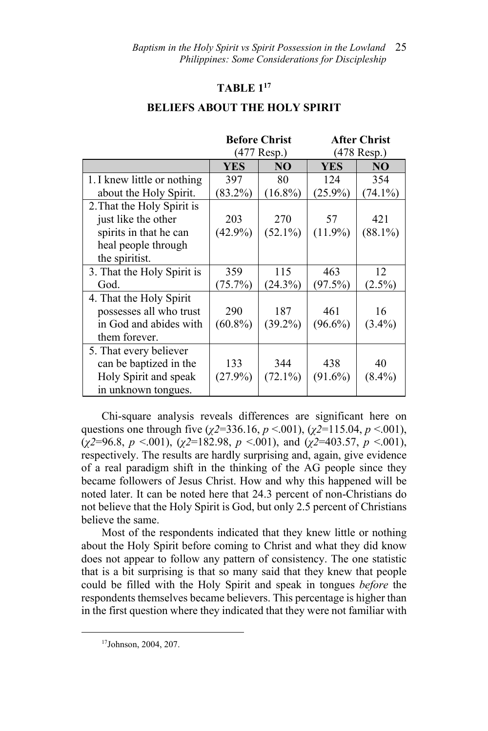#### **TABLE 117**

|                             | <b>Before Christ</b><br>$(477$ Resp.) |            | <b>After Christ</b><br>$(478$ Resp.) |            |
|-----------------------------|---------------------------------------|------------|--------------------------------------|------------|
|                             | <b>YES</b>                            | NO         | <b>YES</b>                           | NO         |
| 1. I knew little or nothing | 397                                   | 80         | 124                                  | 354        |
| about the Holy Spirit.      | $(83.2\%)$                            | $(16.8\%)$ | $(25.9\%)$                           | $(74.1\%)$ |
| 2. That the Holy Spirit is  |                                       |            |                                      |            |
| just like the other         | 203                                   | 270        | 57                                   | 421        |
| spirits in that he can      | $(42.9\%)$                            | $(52.1\%)$ | $(11.9\%)$                           | $(88.1\%)$ |
| heal people through         |                                       |            |                                      |            |
| the spiritist.              |                                       |            |                                      |            |
| 3. That the Holy Spirit is  | 359                                   | 115        | 463                                  | 12         |
| God.                        | $(75.7\%)$                            | $(24.3\%)$ | (97.5%)                              | $(2.5\%)$  |
| 4. That the Holy Spirit     |                                       |            |                                      |            |
| possesses all who trust     | 290                                   | 187        | 461                                  | 16         |
| in God and abides with      | $(60.8\%)$                            | $(39.2\%)$ | $(96.6\%)$                           | $(3.4\%)$  |
| them forever.               |                                       |            |                                      |            |
| 5. That every believer      |                                       |            |                                      |            |
| can be baptized in the      | 133                                   | 344        | 438                                  | 40         |
| Holy Spirit and speak       | $(27.9\%)$                            | $(72.1\%)$ | $(91.6\%)$                           | $(8.4\%)$  |
| in unknown tongues.         |                                       |            |                                      |            |

Chi-square analysis reveals differences are significant here on questions one through five (*χ2*=336.16, *p* <.001), (*χ2*=115.04, *p* <.001), (*χ2*=96.8, *p* <.001), (*χ2*=182.98, *p* <.001), and (*χ2*=403.57, *p* <.001), respectively. The results are hardly surprising and, again, give evidence of a real paradigm shift in the thinking of the AG people since they became followers of Jesus Christ. How and why this happened will be noted later. It can be noted here that 24.3 percent of non-Christians do not believe that the Holy Spirit is God, but only 2.5 percent of Christians believe the same.

Most of the respondents indicated that they knew little or nothing about the Holy Spirit before coming to Christ and what they did know does not appear to follow any pattern of consistency. The one statistic that is a bit surprising is that so many said that they knew that people could be filled with the Holy Spirit and speak in tongues *before* the respondents themselves became believers. This percentage is higher than in the first question where they indicated that they were not familiar with

<sup>17</sup>Johnson, 2004, 207.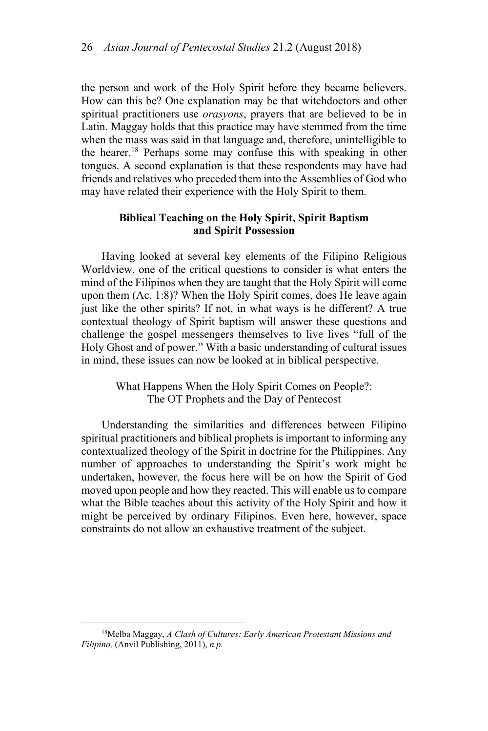the person and work of the Holy Spirit before they became believers. How can this be? One explanation may be that witchdoctors and other spiritual practitioners use *orasyons*, prayers that are believed to be in Latin. Maggay holds that this practice may have stemmed from the time when the mass was said in that language and, therefore, unintelligible to the hearer.18 Perhaps some may confuse this with speaking in other tongues. A second explanation is that these respondents may have had friends and relatives who preceded them into the Assemblies of God who may have related their experience with the Holy Spirit to them.

# **Biblical Teaching on the Holy Spirit, Spirit Baptism and Spirit Possession**

Having looked at several key elements of the Filipino Religious Worldview, one of the critical questions to consider is what enters the mind of the Filipinos when they are taught that the Holy Spirit will come upon them (Ac. 1:8)? When the Holy Spirit comes, does He leave again just like the other spirits? If not, in what ways is he different? A true contextual theology of Spirit baptism will answer these questions and challenge the gospel messengers themselves to live lives "full of the Holy Ghost and of power." With a basic understanding of cultural issues in mind, these issues can now be looked at in biblical perspective.

> What Happens When the Holy Spirit Comes on People?: The OT Prophets and the Day of Pentecost

Understanding the similarities and differences between Filipino spiritual practitioners and biblical prophets is important to informing any contextualized theology of the Spirit in doctrine for the Philippines. Any number of approaches to understanding the Spirit's work might be undertaken, however, the focus here will be on how the Spirit of God moved upon people and how they reacted. This will enable us to compare what the Bible teaches about this activity of the Holy Spirit and how it might be perceived by ordinary Filipinos. Even here, however, space constraints do not allow an exhaustive treatment of the subject.

<sup>18</sup>Melba Maggay, *A Clash of Cultures: Early American Protestant Missions and Filipino,* (Anvil Publishing, 2011), *n.p.*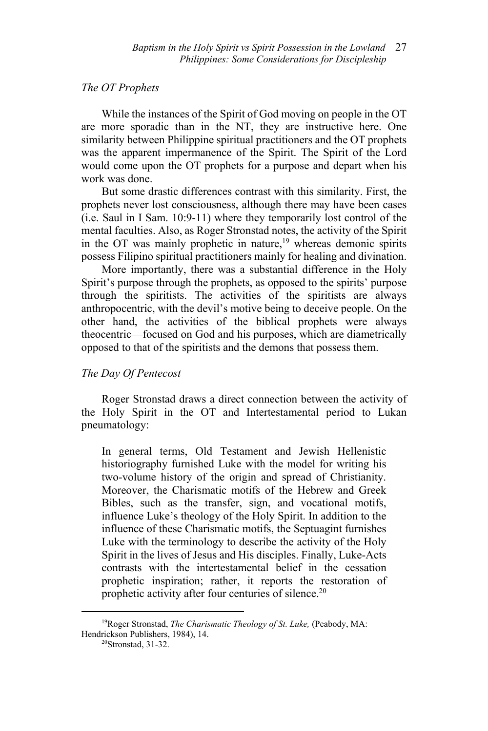# *The OT Prophets*

While the instances of the Spirit of God moving on people in the OT are more sporadic than in the NT, they are instructive here. One similarity between Philippine spiritual practitioners and the OT prophets was the apparent impermanence of the Spirit. The Spirit of the Lord would come upon the OT prophets for a purpose and depart when his work was done.

But some drastic differences contrast with this similarity. First, the prophets never lost consciousness, although there may have been cases (i.e. Saul in I Sam. 10:9-11) where they temporarily lost control of the mental faculties. Also, as Roger Stronstad notes, the activity of the Spirit in the OT was mainly prophetic in nature,<sup>19</sup> whereas demonic spirits possess Filipino spiritual practitioners mainly for healing and divination.

More importantly, there was a substantial difference in the Holy Spirit's purpose through the prophets, as opposed to the spirits' purpose through the spiritists. The activities of the spiritists are always anthropocentric, with the devil's motive being to deceive people. On the other hand, the activities of the biblical prophets were always theocentric—focused on God and his purposes, which are diametrically opposed to that of the spiritists and the demons that possess them.

# *The Day Of Pentecost*

Roger Stronstad draws a direct connection between the activity of the Holy Spirit in the OT and Intertestamental period to Lukan pneumatology:

In general terms, Old Testament and Jewish Hellenistic historiography furnished Luke with the model for writing his two-volume history of the origin and spread of Christianity. Moreover, the Charismatic motifs of the Hebrew and Greek Bibles, such as the transfer, sign, and vocational motifs, influence Luke's theology of the Holy Spirit. In addition to the influence of these Charismatic motifs, the Septuagint furnishes Luke with the terminology to describe the activity of the Holy Spirit in the lives of Jesus and His disciples. Finally, Luke-Acts contrasts with the intertestamental belief in the cessation prophetic inspiration; rather, it reports the restoration of prophetic activity after four centuries of silence.20

<sup>&</sup>lt;sup>19</sup>Roger Stronstad, *The Charismatic Theology of St. Luke*, (Peabody, MA: Hendrickson Publishers, 1984), 14.<br><sup>20</sup>Stronstad, 31-32.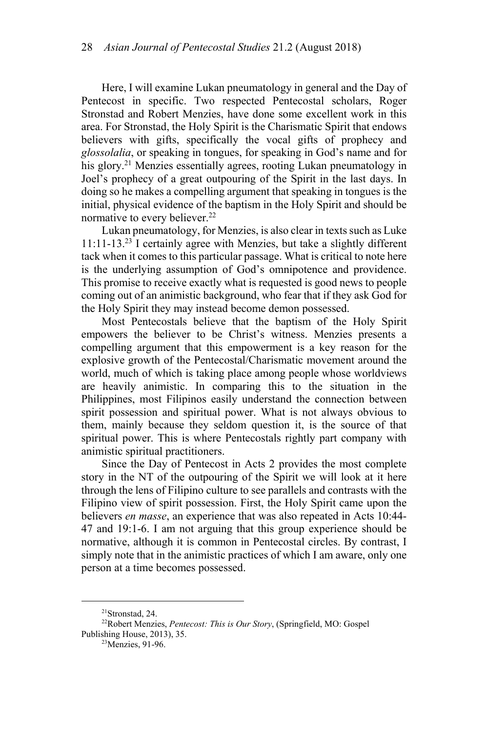Here, I will examine Lukan pneumatology in general and the Day of Pentecost in specific. Two respected Pentecostal scholars, Roger Stronstad and Robert Menzies, have done some excellent work in this area. For Stronstad, the Holy Spirit is the Charismatic Spirit that endows believers with gifts, specifically the vocal gifts of prophecy and *glossolalia*, or speaking in tongues, for speaking in God's name and for his glory.<sup>21</sup> Menzies essentially agrees, rooting Lukan pneumatology in Joel's prophecy of a great outpouring of the Spirit in the last days. In doing so he makes a compelling argument that speaking in tongues is the initial, physical evidence of the baptism in the Holy Spirit and should be normative to every believer.<sup>22</sup>

Lukan pneumatology, for Menzies, is also clear in texts such as Luke 11:11-13.23 I certainly agree with Menzies, but take a slightly different tack when it comes to this particular passage. What is critical to note here is the underlying assumption of God's omnipotence and providence. This promise to receive exactly what is requested is good news to people coming out of an animistic background, who fear that if they ask God for the Holy Spirit they may instead become demon possessed.

Most Pentecostals believe that the baptism of the Holy Spirit empowers the believer to be Christ's witness. Menzies presents a compelling argument that this empowerment is a key reason for the explosive growth of the Pentecostal/Charismatic movement around the world, much of which is taking place among people whose worldviews are heavily animistic. In comparing this to the situation in the Philippines, most Filipinos easily understand the connection between spirit possession and spiritual power. What is not always obvious to them, mainly because they seldom question it, is the source of that spiritual power. This is where Pentecostals rightly part company with animistic spiritual practitioners.

Since the Day of Pentecost in Acts 2 provides the most complete story in the NT of the outpouring of the Spirit we will look at it here through the lens of Filipino culture to see parallels and contrasts with the Filipino view of spirit possession. First, the Holy Spirit came upon the believers *en masse*, an experience that was also repeated in Acts 10:44- 47 and 19:1-6. I am not arguing that this group experience should be normative, although it is common in Pentecostal circles. By contrast, I simply note that in the animistic practices of which I am aware, only one person at a time becomes possessed.

<sup>21</sup>Stronstad, 24.

<sup>22</sup>Robert Menzies, *Pentecost: This is Our Story*, (Springfield, MO: Gospel Publishing House, 2013), 35.<br> $^{23}$ Menzies, 91-96.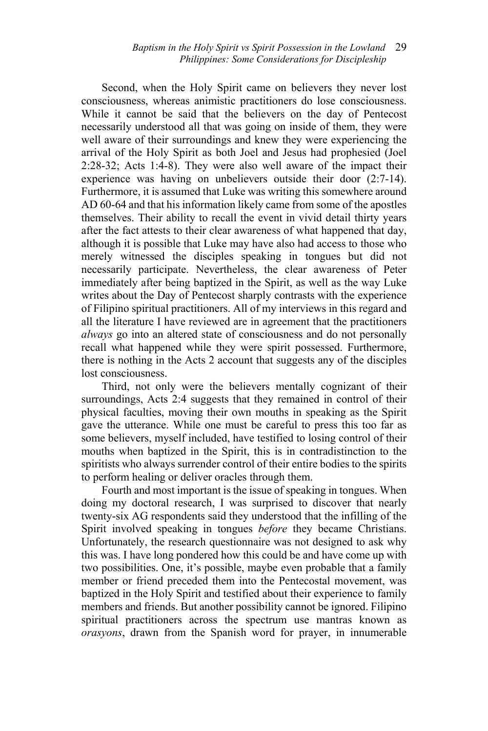Second, when the Holy Spirit came on believers they never lost consciousness, whereas animistic practitioners do lose consciousness. While it cannot be said that the believers on the day of Pentecost necessarily understood all that was going on inside of them, they were well aware of their surroundings and knew they were experiencing the arrival of the Holy Spirit as both Joel and Jesus had prophesied (Joel 2:28-32; Acts 1:4-8). They were also well aware of the impact their experience was having on unbelievers outside their door (2:7-14). Furthermore, it is assumed that Luke was writing this somewhere around AD 60-64 and that his information likely came from some of the apostles themselves. Their ability to recall the event in vivid detail thirty years after the fact attests to their clear awareness of what happened that day, although it is possible that Luke may have also had access to those who merely witnessed the disciples speaking in tongues but did not necessarily participate. Nevertheless, the clear awareness of Peter immediately after being baptized in the Spirit, as well as the way Luke writes about the Day of Pentecost sharply contrasts with the experience of Filipino spiritual practitioners. All of my interviews in this regard and all the literature I have reviewed are in agreement that the practitioners *always* go into an altered state of consciousness and do not personally recall what happened while they were spirit possessed. Furthermore, there is nothing in the Acts 2 account that suggests any of the disciples lost consciousness.

Third, not only were the believers mentally cognizant of their surroundings, Acts 2:4 suggests that they remained in control of their physical faculties, moving their own mouths in speaking as the Spirit gave the utterance. While one must be careful to press this too far as some believers, myself included, have testified to losing control of their mouths when baptized in the Spirit, this is in contradistinction to the spiritists who always surrender control of their entire bodies to the spirits to perform healing or deliver oracles through them.

Fourth and most important is the issue of speaking in tongues. When doing my doctoral research, I was surprised to discover that nearly twenty-six AG respondents said they understood that the infilling of the Spirit involved speaking in tongues *before* they became Christians. Unfortunately, the research questionnaire was not designed to ask why this was. I have long pondered how this could be and have come up with two possibilities. One, it's possible, maybe even probable that a family member or friend preceded them into the Pentecostal movement, was baptized in the Holy Spirit and testified about their experience to family members and friends. But another possibility cannot be ignored. Filipino spiritual practitioners across the spectrum use mantras known as *orasyons*, drawn from the Spanish word for prayer, in innumerable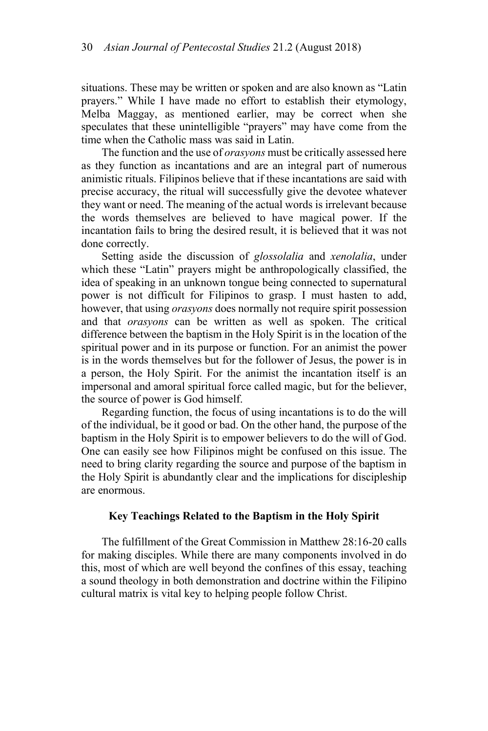situations. These may be written or spoken and are also known as "Latin prayers." While I have made no effort to establish their etymology, Melba Maggay, as mentioned earlier, may be correct when she speculates that these unintelligible "prayers" may have come from the time when the Catholic mass was said in Latin.

The function and the use of *orasyons* must be critically assessed here as they function as incantations and are an integral part of numerous animistic rituals. Filipinos believe that if these incantations are said with precise accuracy, the ritual will successfully give the devotee whatever they want or need. The meaning of the actual words is irrelevant because the words themselves are believed to have magical power. If the incantation fails to bring the desired result, it is believed that it was not done correctly.

Setting aside the discussion of *glossolalia* and *xenolalia*, under which these "Latin" prayers might be anthropologically classified, the idea of speaking in an unknown tongue being connected to supernatural power is not difficult for Filipinos to grasp. I must hasten to add, however, that using *orasyons* does normally not require spirit possession and that *orasyons* can be written as well as spoken. The critical difference between the baptism in the Holy Spirit is in the location of the spiritual power and in its purpose or function. For an animist the power is in the words themselves but for the follower of Jesus, the power is in a person, the Holy Spirit. For the animist the incantation itself is an impersonal and amoral spiritual force called magic, but for the believer, the source of power is God himself.

Regarding function, the focus of using incantations is to do the will of the individual, be it good or bad. On the other hand, the purpose of the baptism in the Holy Spirit is to empower believers to do the will of God. One can easily see how Filipinos might be confused on this issue. The need to bring clarity regarding the source and purpose of the baptism in the Holy Spirit is abundantly clear and the implications for discipleship are enormous.

## **Key Teachings Related to the Baptism in the Holy Spirit**

The fulfillment of the Great Commission in Matthew 28:16-20 calls for making disciples. While there are many components involved in do this, most of which are well beyond the confines of this essay, teaching a sound theology in both demonstration and doctrine within the Filipino cultural matrix is vital key to helping people follow Christ.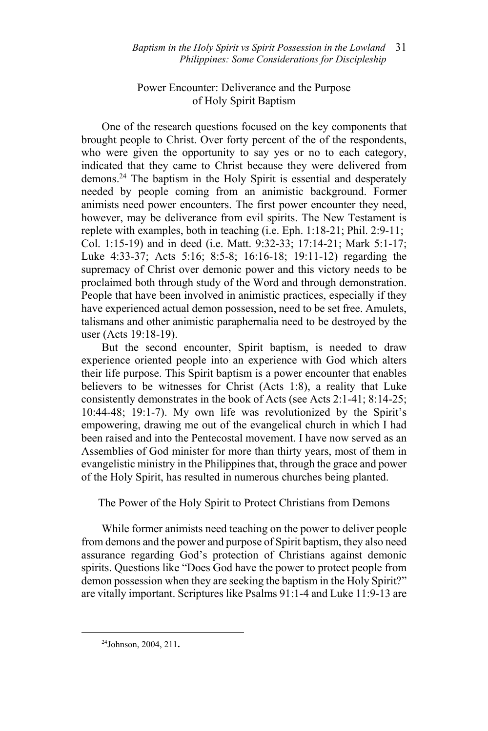# Power Encounter: Deliverance and the Purpose of Holy Spirit Baptism

One of the research questions focused on the key components that brought people to Christ. Over forty percent of the of the respondents, who were given the opportunity to say yes or no to each category, indicated that they came to Christ because they were delivered from demons.24 The baptism in the Holy Spirit is essential and desperately needed by people coming from an animistic background. Former animists need power encounters. The first power encounter they need, however, may be deliverance from evil spirits. The New Testament is replete with examples, both in teaching (i.e. Eph. 1:18-21; Phil. 2:9-11; Col. 1:15-19) and in deed (i.e. Matt. 9:32-33; 17:14-21; Mark 5:1-17; Luke 4:33-37; Acts 5:16; 8:5-8; 16:16-18; 19:11-12) regarding the supremacy of Christ over demonic power and this victory needs to be proclaimed both through study of the Word and through demonstration. People that have been involved in animistic practices, especially if they have experienced actual demon possession, need to be set free. Amulets, talismans and other animistic paraphernalia need to be destroyed by the user (Acts 19:18-19).

But the second encounter, Spirit baptism, is needed to draw experience oriented people into an experience with God which alters their life purpose. This Spirit baptism is a power encounter that enables believers to be witnesses for Christ (Acts 1:8), a reality that Luke consistently demonstrates in the book of Acts (see Acts 2:1-41; 8:14-25; 10:44-48; 19:1-7). My own life was revolutionized by the Spirit's empowering, drawing me out of the evangelical church in which I had been raised and into the Pentecostal movement. I have now served as an Assemblies of God minister for more than thirty years, most of them in evangelistic ministry in the Philippines that, through the grace and power of the Holy Spirit, has resulted in numerous churches being planted.

The Power of the Holy Spirit to Protect Christians from Demons

While former animists need teaching on the power to deliver people from demons and the power and purpose of Spirit baptism, they also need assurance regarding God's protection of Christians against demonic spirits. Questions like "Does God have the power to protect people from demon possession when they are seeking the baptism in the Holy Spirit?" are vitally important. Scriptures like Psalms 91:1-4 and Luke 11:9-13 are

<sup>24</sup>Johnson, 2004, 211**.**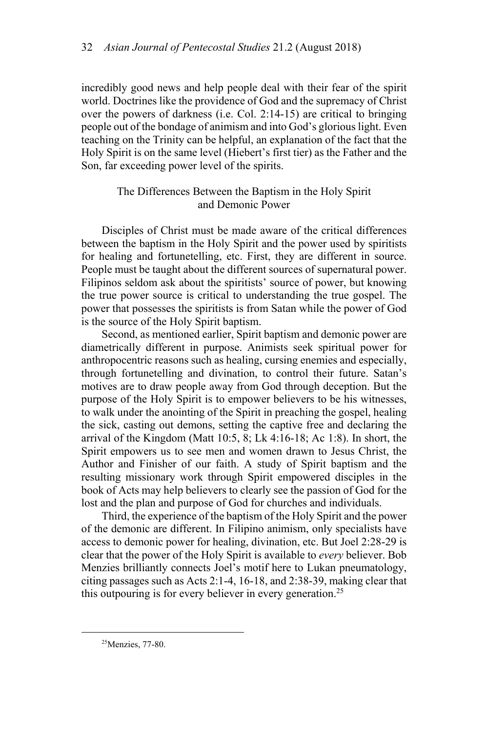incredibly good news and help people deal with their fear of the spirit world. Doctrines like the providence of God and the supremacy of Christ over the powers of darkness (i.e. Col. 2:14-15) are critical to bringing people out of the bondage of animism and into God's glorious light. Even teaching on the Trinity can be helpful, an explanation of the fact that the Holy Spirit is on the same level (Hiebert's first tier) as the Father and the Son, far exceeding power level of the spirits.

# The Differences Between the Baptism in the Holy Spirit and Demonic Power

Disciples of Christ must be made aware of the critical differences between the baptism in the Holy Spirit and the power used by spiritists for healing and fortunetelling, etc. First, they are different in source. People must be taught about the different sources of supernatural power. Filipinos seldom ask about the spiritists' source of power, but knowing the true power source is critical to understanding the true gospel. The power that possesses the spiritists is from Satan while the power of God is the source of the Holy Spirit baptism.

Second, as mentioned earlier, Spirit baptism and demonic power are diametrically different in purpose. Animists seek spiritual power for anthropocentric reasons such as healing, cursing enemies and especially, through fortunetelling and divination, to control their future. Satan's motives are to draw people away from God through deception. But the purpose of the Holy Spirit is to empower believers to be his witnesses, to walk under the anointing of the Spirit in preaching the gospel, healing the sick, casting out demons, setting the captive free and declaring the arrival of the Kingdom (Matt 10:5, 8; Lk 4:16-18; Ac 1:8). In short, the Spirit empowers us to see men and women drawn to Jesus Christ, the Author and Finisher of our faith. A study of Spirit baptism and the resulting missionary work through Spirit empowered disciples in the book of Acts may help believers to clearly see the passion of God for the lost and the plan and purpose of God for churches and individuals.

Third, the experience of the baptism of the Holy Spirit and the power of the demonic are different. In Filipino animism, only specialists have access to demonic power for healing, divination, etc. But Joel 2:28-29 is clear that the power of the Holy Spirit is available to *every* believer. Bob Menzies brilliantly connects Joel's motif here to Lukan pneumatology, citing passages such as Acts 2:1-4, 16-18, and 2:38-39, making clear that this outpouring is for every believer in every generation.<sup>25</sup>

<sup>&</sup>lt;sup>25</sup>Menzies, 77-80.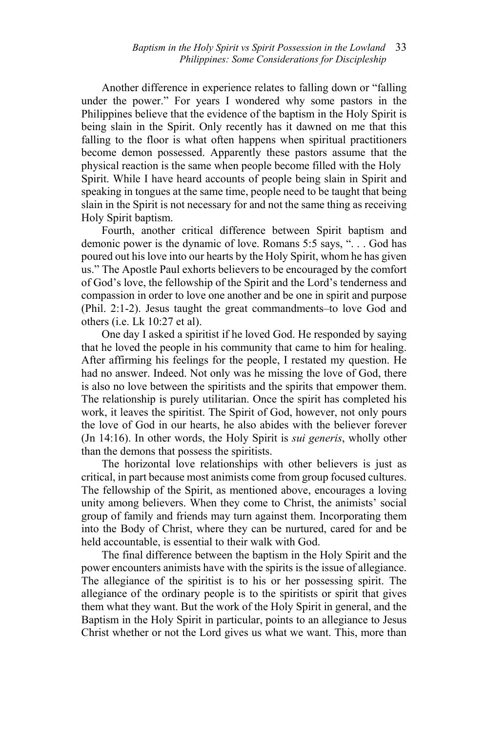Another difference in experience relates to falling down or "falling under the power." For years I wondered why some pastors in the Philippines believe that the evidence of the baptism in the Holy Spirit is being slain in the Spirit. Only recently has it dawned on me that this falling to the floor is what often happens when spiritual practitioners become demon possessed. Apparently these pastors assume that the physical reaction is the same when people become filled with the Holy Spirit. While I have heard accounts of people being slain in Spirit and speaking in tongues at the same time, people need to be taught that being slain in the Spirit is not necessary for and not the same thing as receiving Holy Spirit baptism.

Fourth, another critical difference between Spirit baptism and demonic power is the dynamic of love. Romans 5:5 says, ". . . God has poured out his love into our hearts by the Holy Spirit, whom he has given us." The Apostle Paul exhorts believers to be encouraged by the comfort of God's love, the fellowship of the Spirit and the Lord's tenderness and compassion in order to love one another and be one in spirit and purpose (Phil. 2:1-2). Jesus taught the great commandments–to love God and others (i.e. Lk 10:27 et al).

One day I asked a spiritist if he loved God. He responded by saying that he loved the people in his community that came to him for healing. After affirming his feelings for the people, I restated my question. He had no answer. Indeed. Not only was he missing the love of God, there is also no love between the spiritists and the spirits that empower them. The relationship is purely utilitarian. Once the spirit has completed his work, it leaves the spiritist. The Spirit of God, however, not only pours the love of God in our hearts, he also abides with the believer forever (Jn 14:16). In other words, the Holy Spirit is *sui generis*, wholly other than the demons that possess the spiritists.

The horizontal love relationships with other believers is just as critical, in part because most animists come from group focused cultures. The fellowship of the Spirit, as mentioned above, encourages a loving unity among believers. When they come to Christ, the animists' social group of family and friends may turn against them. Incorporating them into the Body of Christ, where they can be nurtured, cared for and be held accountable, is essential to their walk with God.

The final difference between the baptism in the Holy Spirit and the power encounters animists have with the spirits is the issue of allegiance. The allegiance of the spiritist is to his or her possessing spirit. The allegiance of the ordinary people is to the spiritists or spirit that gives them what they want. But the work of the Holy Spirit in general, and the Baptism in the Holy Spirit in particular, points to an allegiance to Jesus Christ whether or not the Lord gives us what we want. This, more than